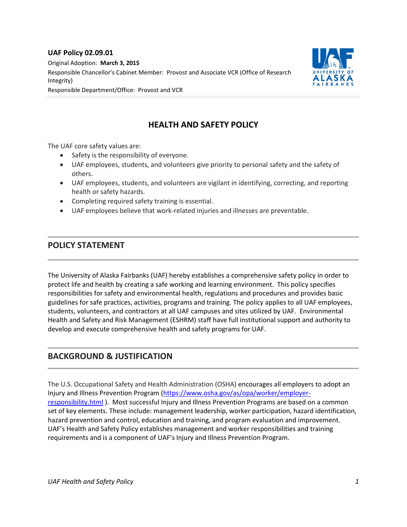#### **UAF Policy 02.09.01**

Original Adoption: **March 3, 2015** Responsible Chancellor's Cabinet Member: Provost and Associate VCR (Office of Research Integrity) Responsible Department/Office: Provost and VCR



# **HEALTH AND SAFETY POLICY**

The UAF core safety values are:

- Safety is the responsibility of everyone.
- UAF employees, students, and volunteers give priority to personal safety and the safety of others.
- UAF employees, students, and volunteers are vigilant in identifying, correcting, and reporting health or safety hazards.
- Completing required safety training is essential.
- UAF employees believe that work-related injuries and illnesses are preventable.

### **POLICY STATEMENT**

The University of Alaska Fairbanks (UAF) hereby establishes a comprehensive safety policy in order to protect life and health by creating a safe working and learning environment. This policy specifies responsibilities for safety and environmental health, regulations and procedures and provides basic guidelines for safe practices, activities, programs and training. The policy applies to all UAF employees, students, volunteers, and contractors at all UAF campuses and sites utilized by UAF. Environmental Health and Safety and Risk Management (ESHRM) staff have full institutional support and authority to develop and execute comprehensive health and safety programs for UAF.

## **BACKGROUND & JUSTIFICATION**

The U.S. Occupational Safety and Health Administration (OSHA) encourages all employers to adopt an Injury and Illness Prevention Program [\(https://www.osha.gov/as/opa/worker/employer](https://www.osha.gov/as/opa/worker/employer-responsibility.html)[responsibility.html](https://www.osha.gov/as/opa/worker/employer-responsibility.html) ). Most successful Injury and Illness Prevention Programs are based on a common set of key elements. These include: management leadership, worker participation, hazard identification, hazard prevention and control, education and training, and program evaluation and improvement. UAF's Health and Safety Policy establishes management and worker responsibilities and training requirements and is a component of UAF's Injury and Illness Prevention Program.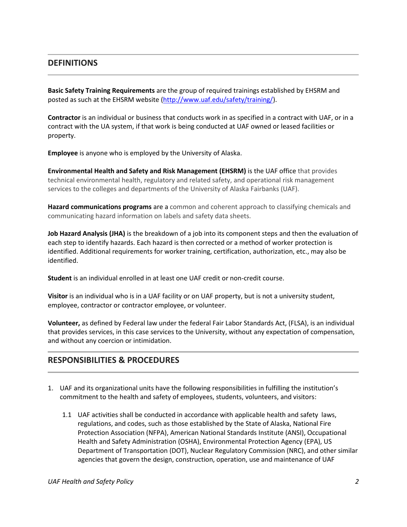### **DEFINITIONS**

**Basic Safety Training Requirements** are the group of required trainings established by EHSRM and posted as such at the EHSRM website [\(http://www.uaf.edu/safety/training/\)](http://www.uaf.edu/safety/training/).

**Contractor** is an individual or business that conducts work in as specified in a contract with UAF, or in a contract with the UA system, if that work is being conducted at UAF owned or leased facilities or property.

**Employee** is anyone who is employed by the University of Alaska.

**Environmental Health and Safety and Risk Management (EHSRM)** is the UAF office that provides technical environmental health, regulatory and related safety, and operational risk management services to the colleges and departments of the University of Alaska Fairbanks (UAF).

**Hazard communications programs** are a common and coherent approach to classifying chemicals and communicating hazard information on labels and safety data sheets.

**Job Hazard Analysis (JHA)** is the breakdown of a job into its component steps and then the evaluation of each step to identify hazards. Each hazard is then corrected or a method of worker protection is identified. Additional requirements for worker training, certification, authorization, etc., may also be identified.

**Student** is an individual enrolled in at least one UAF credit or non-credit course.

**Visitor** is an individual who is in a UAF facility or on UAF property, but is not a university student, employee, contractor or contractor employee, or volunteer.

**Volunteer,** as defined by Federal law under the federal Fair Labor Standards Act, (FLSA), is an individual that provides services, in this case services to the University, without any expectation of compensation, and without any coercion or intimidation.

## **RESPONSIBILITIES & PROCEDURES**

- 1. UAF and its organizational units have the following responsibilities in fulfilling the institution's commitment to the health and safety of employees, students, volunteers, and visitors:
	- 1.1 UAF activities shall be conducted in accordance with applicable health and safety laws, regulations, and codes, such as those established by the State of Alaska, National Fire Protection Association (NFPA), American National Standards Institute (ANSI), Occupational Health and Safety Administration (OSHA), Environmental Protection Agency (EPA), US Department of Transportation (DOT), Nuclear Regulatory Commission (NRC), and other similar agencies that govern the design, construction, operation, use and maintenance of UAF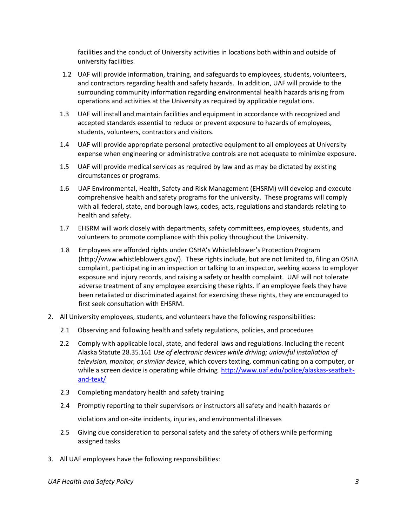facilities and the conduct of University activities in locations both within and outside of university facilities.

- 1.2 UAF will provide information, training, and safeguards to employees, students, volunteers, and contractors regarding health and safety hazards. In addition, UAF will provide to the surrounding community information regarding environmental health hazards arising from operations and activities at the University as required by applicable regulations.
- 1.3 UAF will install and maintain facilities and equipment in accordance with recognized and accepted standards essential to reduce or prevent exposure to hazards of employees, students, volunteers, contractors and visitors.
- 1.4 UAF will provide appropriate personal protective equipment to all employees at University expense when engineering or administrative controls are not adequate to minimize exposure.
- 1.5 UAF will provide medical services as required by law and as may be dictated by existing circumstances or programs.
- 1.6 UAF Environmental, Health, Safety and Risk Management (EHSRM) will develop and execute comprehensive health and safety programs for the university. These programs will comply with all federal, state, and borough laws, codes, acts, regulations and standards relating to health and safety.
- 1.7 EHSRM will work closely with departments, safety committees, employees, students, and volunteers to promote compliance with this policy throughout the University.
- 1.8 Employees are afforded rights under OSHA's Whistleblower's Protection Program (http://www.whistleblowers.gov/). These rights include, but are not limited to, filing an OSHA complaint, participating in an inspection or talking to an inspector, seeking access to employer exposure and injury records, and raising a safety or health complaint. UAF will not tolerate adverse treatment of any employee exercising these rights. If an employee feels they have been retaliated or discriminated against for exercising these rights, they are encouraged to first seek consultation with EHSRM.
- 2. All University employees, students, and volunteers have the following responsibilities:
	- 2.1 Observing and following health and safety regulations, policies, and procedures
	- 2.2 Comply with applicable local, state, and federal laws and regulations. Including the recent Alaska Statute 28.35.161 *Use of electronic devices while driving; unlawful installation of television, monitor, or similar device*, which covers texting, communicating on a computer, or while a screen device is operating while driving [http://www.uaf.edu/police/alaskas-seatbelt](http://www.uaf.edu/police/alaskas-seatbelt-and-text/)[and-text/](http://www.uaf.edu/police/alaskas-seatbelt-and-text/)
	- 2.3 Completing mandatory health and safety training
	- 2.4 Promptly reporting to their supervisors or instructors all safety and health hazards or

violations and on-site incidents, injuries, and environmental illnesses

- 2.5 Giving due consideration to personal safety and the safety of others while performing assigned tasks
- 3. All UAF employees have the following responsibilities:

*UAF Health and Safety Policy 3*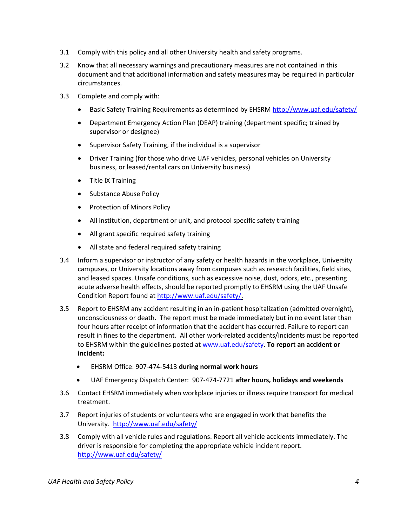- 3.1 Comply with this policy and all other University health and safety programs.
- 3.2 Know that all necessary warnings and precautionary measures are not contained in this document and that additional information and safety measures may be required in particular circumstances.
- 3.3 Complete and comply with:
	- Basic Safety Training Requirements as determined by EHSRM<http://www.uaf.edu/safety/>
	- Department Emergency Action Plan (DEAP) training (department specific; trained by supervisor or designee)
	- Supervisor Safety Training, if the individual is a supervisor
	- Driver Training (for those who drive UAF vehicles, personal vehicles on University business, or leased/rental cars on University business)
	- Title IX Training
	- Substance Abuse Policy
	- Protection of Minors Policy
	- All institution, department or unit, and protocol specific safety training
	- All grant specific required safety training
	- All state and federal required safety training
- 3.4 Inform a supervisor or instructor of any safety or health hazards in the workplace, University campuses, or University locations away from campuses such as research facilities, field sites, and leased spaces. Unsafe conditions, such as excessive noise, dust, odors, etc., presenting acute adverse health effects, should be reported promptly to EHSRM using the UAF Unsafe Condition Report found a[t http://www.uaf.edu/safety/.](http://www.uaf.edu/safety/)
- 3.5 Report to EHSRM any accident resulting in an in-patient hospitalization (admitted overnight), unconsciousness or death. The report must be made immediately but in no event later than four hours after receipt of information that the accident has occurred. Failure to report can result in fines to the department. All other work-related accidents/incidents must be reported to EHSRM within the guidelines posted a[t www.uaf.edu/safety.](http://www.uaf.edu/safety) **To report an accident or incident:**
	- EHSRM Office: 907-474-5413 **during normal work hours**
	- UAF Emergency Dispatch Center: 907-474-7721 **after hours, holidays and weekends**
- 3.6 Contact EHSRM immediately when workplace injuries or illness require transport for medical treatment.
- 3.7 Report injuries of students or volunteers who are engaged in work that benefits the University. <http://www.uaf.edu/safety/>
- 3.8 Comply with all vehicle rules and regulations. Report all vehicle accidents immediately. The driver is responsible for completing the appropriate vehicle incident report. <http://www.uaf.edu/safety/>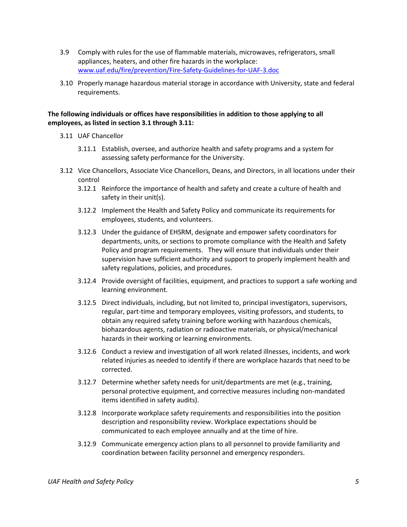- 3.9 Comply with rules for the use of flammable materials, microwaves, refrigerators, small appliances, heaters, and other fire hazards in the workplace: [www.uaf.edu/fire/prevention/Fire-Safety-Guidelines-for-UAF-3.doc](http://www.uaf.edu/fire/prevention/Fire-Safety-Guidelines-for-UAF-3.doc)
- 3.10 Properly manage hazardous material storage in accordance with University, state and federal requirements.

#### **The following individuals or offices have responsibilities in addition to those applying to all employees, as listed in section 3.1 through 3.11:**

- 3.11 UAF Chancellor
	- 3.11.1 Establish, oversee, and authorize health and safety programs and a system for assessing safety performance for the University.
- 3.12 Vice Chancellors, Associate Vice Chancellors, Deans, and Directors, in all locations under their control
	- 3.12.1 Reinforce the importance of health and safety and create a culture of health and safety in their unit(s).
	- 3.12.2 Implement the Health and Safety Policy and communicate its requirements for employees, students, and volunteers.
	- 3.12.3 Under the guidance of EHSRM, designate and empower safety coordinators for departments, units, or sections to promote compliance with the Health and Safety Policy and program requirements. They will ensure that individuals under their supervision have sufficient authority and support to properly implement health and safety regulations, policies, and procedures.
	- 3.12.4 Provide oversight of facilities, equipment, and practices to support a safe working and learning environment.
	- 3.12.5 Direct individuals, including, but not limited to, principal investigators, supervisors, regular, part-time and temporary employees, visiting professors, and students, to obtain any required safety training before working with hazardous chemicals, biohazardous agents, radiation or radioactive materials, or physical/mechanical hazards in their working or learning environments.
	- 3.12.6 Conduct a review and investigation of all work related illnesses, incidents, and work related injuries as needed to identify if there are workplace hazards that need to be corrected.
	- 3.12.7 Determine whether safety needs for unit/departments are met (e.g., training, personal protective equipment, and corrective measures including non-mandated items identified in safety audits).
	- 3.12.8 Incorporate workplace safety requirements and responsibilities into the position description and responsibility review. Workplace expectations should be communicated to each employee annually and at the time of hire.
	- 3.12.9 Communicate emergency action plans to all personnel to provide familiarity and coordination between facility personnel and emergency responders.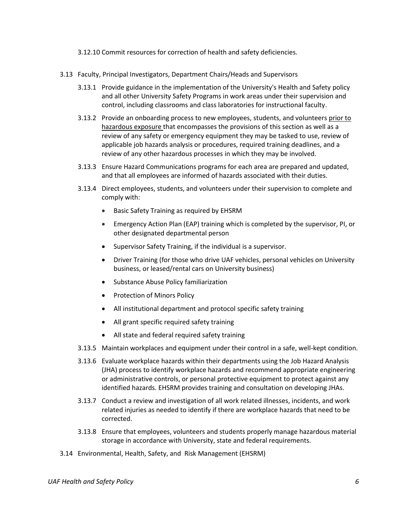- 3.12.10 Commit resources for correction of health and safety deficiencies.
- 3.13 Faculty, Principal Investigators, Department Chairs/Heads and Supervisors
	- 3.13.1 Provide guidance in the implementation of the University's Health and Safety policy and all other University Safety Programs in work areas under their supervision and control, including classrooms and class laboratories for instructional faculty.
	- 3.13.2 Provide an onboarding process to new employees, students, and volunteers prior to hazardous exposure that encompasses the provisions of this section as well as a review of any safety or emergency equipment they may be tasked to use, review of applicable job hazards analysis or procedures, required training deadlines, and a review of any other hazardous processes in which they may be involved.
	- 3.13.3 Ensure Hazard Communications programs for each area are prepared and updated, and that all employees are informed of hazards associated with their duties.
	- 3.13.4 Direct employees, students, and volunteers under their supervision to complete and comply with:
		- Basic Safety Training as required by EHSRM
		- Emergency Action Plan (EAP) training which is completed by the supervisor, PI, or other designated departmental person
		- Supervisor Safety Training, if the individual is a supervisor.
		- Driver Training (for those who drive UAF vehicles, personal vehicles on University business, or leased/rental cars on University business)
		- **•** Substance Abuse Policy familiarization
		- Protection of Minors Policy
		- All institutional department and protocol specific safety training
		- All grant specific required safety training
		- All state and federal required safety training
	- 3.13.5 Maintain workplaces and equipment under their control in a safe, well-kept condition.
	- 3.13.6 Evaluate workplace hazards within their departments using the Job Hazard Analysis (JHA) process to identify workplace hazards and recommend appropriate engineering or administrative controls, or personal protective equipment to protect against any identified hazards. EHSRM provides training and consultation on developing JHAs.
	- 3.13.7 Conduct a review and investigation of all work related illnesses, incidents, and work related injuries as needed to identify if there are workplace hazards that need to be corrected.
	- 3.13.8 Ensure that employees, volunteers and students properly manage hazardous material storage in accordance with University, state and federal requirements.
- 3.14 Environmental, Health, Safety, and Risk Management (EHSRM)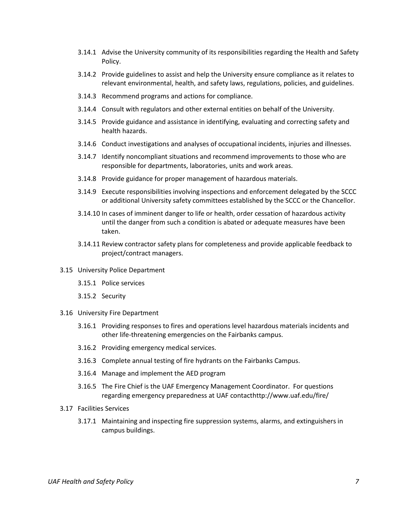- 3.14.1 Advise the University community of its responsibilities regarding the Health and Safety Policy.
- 3.14.2 Provide guidelines to assist and help the University ensure compliance as it relates to relevant environmental, health, and safety laws, regulations, policies, and guidelines.
- 3.14.3 Recommend programs and actions for compliance.
- 3.14.4 Consult with regulators and other external entities on behalf of the University.
- 3.14.5 Provide guidance and assistance in identifying, evaluating and correcting safety and health hazards.
- 3.14.6 Conduct investigations and analyses of occupational incidents, injuries and illnesses.
- 3.14.7 Identify noncompliant situations and recommend improvements to those who are responsible for departments, laboratories, units and work areas.
- 3.14.8 Provide guidance for proper management of hazardous materials.
- 3.14.9 Execute responsibilities involving inspections and enforcement delegated by the SCCC or additional University safety committees established by the SCCC or the Chancellor.
- 3.14.10 In cases of imminent danger to life or health, order cessation of hazardous activity until the danger from such a condition is abated or adequate measures have been taken.
- 3.14.11 Review contractor safety plans for completeness and provide applicable feedback to project/contract managers.
- 3.15 [University Police](http://www.police.nmsu.edu/) Department
	- 3.15.1 Police services
	- 3.15.2 [Security](http://safety.nmsu.edu/emergency.htm)
- 3.16 University Fire Department
	- 3.16.1 Providing responses to fires and operations level hazardous materials incidents and other life-threatening emergencies on the Fairbanks campus.
	- 3.16.2 Providing emergency medical services.
	- 3.16.3 Complete annual testing of fire hydrants on the Fairbanks Campus.
	- 3.16.4 Manage and implement the AED program
	- 3.16.5 The Fire Chief is the UAF Emergency Management Coordinator. For questions regarding emergency preparedness at UAF contacthttp://www.uaf.edu/fire/
- 3.17 Facilities Services
	- 3.17.1 Maintaining and inspecting fire suppression systems, alarms, and extinguishers in campus buildings.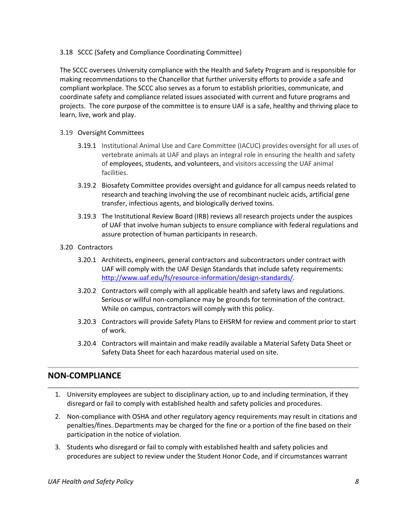3.18 SCCC (Safety and Compliance Coordinating Committee)

The SCCC oversees University compliance with the Health and Safety Program and is responsible for making recommendations to the Chancellor that further university efforts to provide a safe and compliant workplace. The SCCC also serves as a forum to establish priorities, communicate, and coordinate safety and compliance related issues associated with current and future programs and projects. The core purpose of the committee is to ensure UAF is a safe, healthy and thriving place to learn, live, work and play.

- 3.19 Oversight Committees
	- 3.19.1 Institutiona[l Animal Use](http://www.uaf.edu/iacuc/) and Care Committee (IACUC) provides oversight for all uses of vertebrate animals at UAF and plays an integral role in ensuring the health and safety of employees, students, and volunteers, and visitors accessing the UAF animal facilities.
	- 3.19.2 [Biosafety](http://www.uaf.edu/ibc) Committee provides oversight and guidance for all campus needs related to research and teaching involving the use of recombinant nucleic acids, artificial gene transfer, infectious agents, and biologically derived toxins.
	- 3.19.3 The Institutional Review Board (IRB) reviews all research projects under the auspices of UAF that involve [human](http://www.uaf.edu/irb) subjects to ensure compliance with federal regulations and assure protection of human participants in research.
- 3.20 Contractors
	- 3.20.1 Architects, engineers, general contractors and subcontractors under contract with UAF will comply with the UAF Design Standards that include safety requirements: [http://www.uaf.edu/fs/resource-information/design-standards/.](http://www.uaf.edu/fs/resource-information/design-standards/)
	- 3.20.2 Contractors will comply with all applicable health and safety laws and regulations. Serious or willful non-compliance may be grounds for termination of the contract. While on campus, contractors will comply with this policy.
	- 3.20.3 Contractors will provide Safety Plans to EHSRM for review and comment prior to start of work.
	- 3.20.4 Contractors will maintain and make readily available a Material Safety Data Sheet or Safety Data Sheet for each hazardous material used on site.

## **NON-COMPLIANCE**

- 1. University employees are subject to disciplinary action, up to and including termination, if they disregard or fail to comply with established health and safety policies and procedures.
- 2. Non-compliance with OSHA and other regulatory agency requirements may result in citations and penalties/fines. Departments may be charged for the fine or a portion of the fine based on their participation in the notice of violation.
- 3. Students who disregard or fail to comply with established health and safety policies and procedures are subject to review under the Student Honor Code, and if circumstances warrant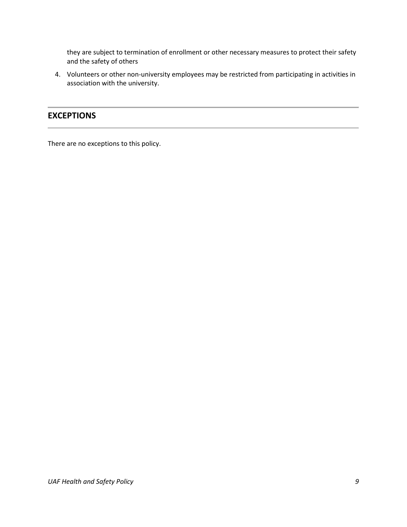they are subject to termination of enrollment or other necessary measures to protect their safety and the safety of others

4. Volunteers or other non-university employees may be restricted from participating in activities in association with the university.

#### **EXCEPTIONS**

There are no exceptions to this policy.